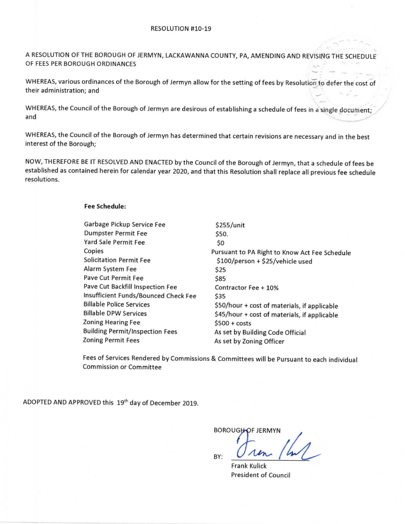A REsOLUTioN OF THE BOROuGH OF iERMyN, LACKAWANNA cOuNTy, pA, AMENDING AND REvismG THE SCHEDULE OF FEES PER BOROUGH ORDINANCES

WHEREAS, various ordinances of the Borough of Jermyn allow for the setting of fees by Resolution to defer the cost of their administration; and

WHEREAS, the Council of the Borough of Jermyn are desirous of establishing a schedule of fees in a single document; and

WHEREAS, the Council of the Borough of Jermyn has determined that certain revisions are necessary and in the best interest of the Borough;

NOW, THEREFORE BE IT RESOLVED AND ENACTED by the Council of the Borough of Jermyn, that a schedule of fees be established as contained herein for calendar year 2020, and that this Resolution shall replace all previous fee schedule resolutions.

## Fee Schedule:

| Garbage Pickup Service Fee             | \$255/unit                                    |
|----------------------------------------|-----------------------------------------------|
| <b>Dumpster Permit Fee</b>             | S50.                                          |
| Yard Sale Permit Fee                   | SO.                                           |
| Copies                                 | Pursuant to PA Right to Know Act Fee Schedule |
| <b>Solicitation Permit Fee</b>         | \$100/person + \$25/vehicle used              |
| Alarm System Fee                       | \$25                                          |
| Pave Cut Permit Fee                    | \$85                                          |
| Pave Cut Backfill Inspection Fee       | Contractor Fee + 10%                          |
| Insufficient Funds/Bounced Check Fee   | \$35                                          |
| <b>Billable Police Services</b>        | \$50/hour + cost of materials, if applicable  |
| <b>Billable DPW Services</b>           | \$45/hour + cost of materials, if applicable  |
| <b>Zoning Hearing Fee</b>              | $$500 + costs$                                |
| <b>Building Permit/Inspection Fees</b> | As set by Building Code Official              |
| <b>Zoning Permit Fees</b>              | As set by Zoning Officer                      |

Fees of Services Rendered by Commissions & Committees will be Pursuant to each individual Commission or Committee

ADOPTED AND APPROVED this 19th day of December 2019.

**BOROUGH-OF JERMYN** 

BY:

Frank Kulick President of Council